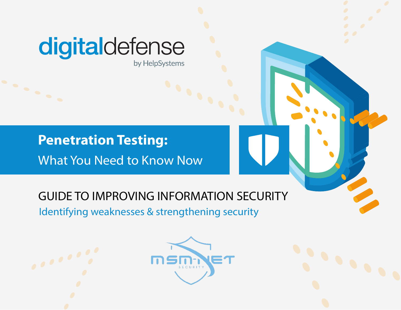# digitaldefense

by HelpSystems

### What You Need to Know Now **Penetration Testing:**

### GUIDE TO IMPROVING INFORMATION SECURITY

Identifying weaknesses & strengthening security





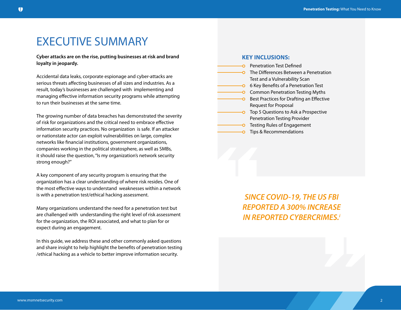### EXECUTIVE SUMMARY

**Cyber attacks are on the rise, putting businesses at risk and brand loyalty in jeopardy.** 

Accidental data leaks, corporate espionage and cyber-attacks are serious threats affecting businesses of all sizes and industries. As a result, today's businesses are challenged with implementing and managing effective information security programs while attempting to run their businesses at the same time.

The growing number of data breaches has demonstrated the severity of risk for organizations and the critical need to embrace effective information security practices. No organization is safe. If an attacker or nationstate actor can exploit vulnerabilities on large, complex networks like financial institutions, government organizations, companies working in the political stratosphere, as well as SMBs, it should raise the question, "Is my organization's network security strong enough?"

A key component of any security program is ensuring that the organization has a clear understanding of where risk resides. One of the most effective ways to understand weaknesses within a network is with a penetration test/ethical hacking assessment.

Many organizations understand the need for a penetration test but are challenged with understanding the right level of risk assessment for the organization, the ROI associated, and what to plan for or expect during an engagement.

In this guide, we address these and other commonly asked questions and share insight to help highlight the benefits of penetration testing /ethical hacking as a vehicle to better improve information security.

#### **KEY INCLUSIONS:**

Pene<br>
O Testi<br>
O Tips<br>
C Tips<br>
O Tips **O** Penetration Test Defined **• The Differences Between a Penetration** Test and a Vulnerability Scan • 6 Key Benefits of a Penetration Test **• Common Penetration Testing Myths -O** Best Practices for Drafting an Effective Request for Proposal **• Top 5 Questions to Ask a Prospective** Penetration Testing Provider **• Testing Rules of Engagement** • Tips & Recommendations

> *SINCE COVID-19, THE US FBI REPORTED A 300% INCREASE IN REPORTED CYBERCRIMES.i*

"

"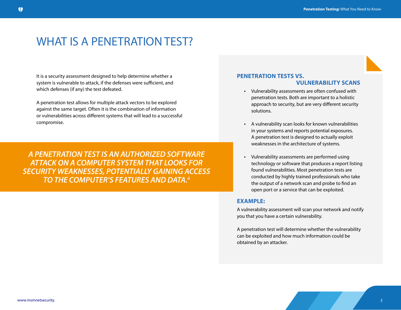### WHAT IS A PENETRATION TEST?

It is a security assessment designed to help determine whether a system is vulnerable to attack, if the defenses were sufficient, and which defenses (if any) the test defeated.

A penetration test allows for multiple attack vectors to be explored against the same target. Often it is the combination of information or vulnerabilities across different systems that will lead to a successful compromise.

*A PENETRATION TEST IS AN AUTHORIZED SOFTWARE ATTACK ON A COMPUTER SYSTEM THAT LOOKS FOR SECURITY WEAKNESSES, POTENTIALLY GAINING ACCESS TO THE COMPUTER'S FEATURES AND DATA.ii*

#### **PENETRATION TESTS VS. VULNERABILITY SCANS**

- Vulnerability assessments are often confused with penetration tests. Both are important to a holistic approach to security, but are very different security solutions.
- A vulnerability scan looks for known vulnerabilities in your systems and reports potential exposures. A penetration test is designed to actually exploit weaknesses in the architecture of systems.
- Vulnerability assessments are performed using technology or software that produces a report listing found vulnerabilities. Most penetration tests are conducted by highly trained professionals who take the output of a network scan and probe to find an open port or a service that can be exploited.

#### **EXAMPLE:**

A vulnerability assessment will scan your network and notify you that you have a certain vulnerability.

A penetration test will determine whether the vulnerability can be exploited and how much information could be obtained by an attacker.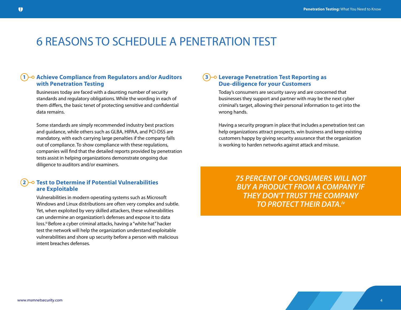### 6 REASONS TO SCHEDULE A PENETRATION TEST

#### **Achieve Compliance from Regulators and/or Auditors with Penetration Testing 1**

Businesses today are faced with a daunting number of security standards and regulatory obligations. While the wording in each of them differs, the basic tenet of protecting sensitive and confidential data remains.

Some standards are simply recommended industry best practices and guidance, while others such as GLBA, HIPAA, and PCI-DSS are mandatory, with each carrying large penalties if the company falls out of compliance. To show compliance with these regulations, companies will find that the detailed reports provided by penetration tests assist in helping organizations demonstrate ongoing due diligence to auditors and/or examiners.

#### **Test to Determine if Potential Vulnerabilities are Exploitable 2**

Vulnerabilities in modern operating systems such as Microsoft Windows and Linux distributions are often very complex and subtle. Yet, when exploited by very skilled attackers, these vulnerabilities can undermine an organization's defenses and expose it to data loss.iii Before a cyber criminal attacks, having a "white hat" hacker test the network will help the organization understand exploitable vulnerabilities and shore up security before a person with malicious intent breaches defenses.

#### **Leverage Penetration Test Reporting as 3 Due-diligence for your Customers**

Today's consumers are security savvy and are concerned that businesses they support and partner with may be the next cyber criminal's target, allowing their personal information to get into the wrong hands.

Having a security program in place that includes a penetration test can help organizations attract prospects, win business and keep existing customers happy by giving security assurance that the organization is working to harden networks against attack and misuse.

> *75 PERCENT OF CONSUMERS WILL NOT BUY A PRODUCT FROM A COMPANY IF THEY DON'T TRUST THE COMPANY TO PROTECT THEIR DATA.iv*

4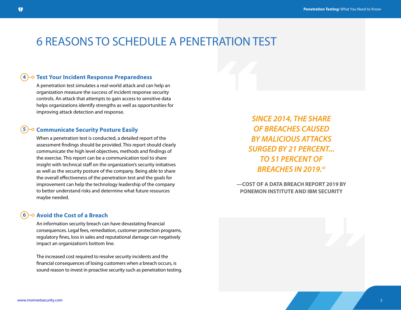# **6 REASONS TO SCHEDULE A PENETRATION T**<br> **Test Your Incident Response Preparedness**<br>
A penetration test simulates a real-world attack and can help an 6 REASONS TO SCHEDULE A PENETRATION TEST

#### **4** O Test Your Incident Response Preparedness

A penetration test simulates a real-world attack and can help an organization measure the success of incident response security controls. An attack that attempts to gain access to sensitive data helps organizations identify strengths as well as opportunities for improving attack detection and response.

#### **Communicate Security Posture Easily 5**

When a penetration test is conducted, a detailed report of the assessment findings should be provided. This report should clearly communicate the high level objectives, methods and findings of the exercise. This report can be a communication tool to share insight with technical staff on the organization's security initiatives as well as the security posture of the company. Being able to share the overall effectiveness of the penetration test and the goals for improvement can help the technology leadership of the company to better understand risks and determine what future resources maybe needed.

#### *SINCE 2014, THE SHARE OF BREACHES CAUSED BY MALICIOUS ATTACKS SURGED BY 21 PERCENT... TO 51 PERCENT OF BREACHES IN 2019.vi*

**—COST OF A DATA BREACH REPORT 2019 BY PONEMON INSTITUTE AND IBM SECURITY**

#### **Avoid the Cost of a Breach 6**

An information security breach can have devastating financial consequences. Legal fees, remediation, customer protection programs, regulatory fines, loss in sales and reputational damage can negatively impact an organization's bottom line.

The increased cost required to resolve security incidents and the financial consequences of losing customers when a breach occurs, is sound reason to invest in proactive security such as penetration testing. "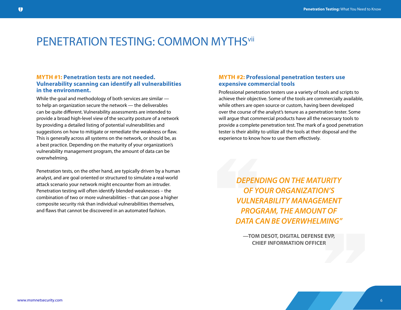### PENETRATION TESTING: COMMON MYTHS<sup>vii</sup>

#### **MYTH #1: Penetration tests are not needed. Vulnerability scanning can identify all vulnerabilities in the environment.**

While the goal and methodology of both services are similar to help an organization secure the network — the deliverables can be quite different. Vulnerability assessments are intended to provide a broad high-level view of the security posture of a network by providing a detailed listing of potential vulnerabilities and suggestions on how to mitigate or remediate the weakness or flaw. This is generally across all systems on the network, or should be, as a best practice. Depending on the maturity of your organization's vulnerability management program, the amount of data can be overwhelming.

Penetration tests, on the other hand, are typically driven by a human analyst, and are goal oriented or structured to simulate a real-world attack scenario your network might encounter from an intruder. Penetration testing will often identify blended weaknesses – the combination of two or more vulnerabilities – that can pose a higher composite security risk than individual vulnerabilities themselves, and flaws that cannot be discovered in an automated fashion.

#### **MYTH #2: Professional penetration testers use expensive commercial tools**

Professional penetration testers use a variety of tools and scripts to achieve their objective. Some of the tools are commercially available, while others are open source or custom, having been developed over the course of the analyst's tenure as a penetration tester. Some will argue that commercial products have all the necessary tools to provide a complete penetration test. The mark of a good penetration tester is their ability to utilize all the tools at their disposal and the experience to know how to use them effectively. tester is their ability<br>experience to know<br>DEPEN

*DEPENDING ON THE MATURITY OF YOUR ORGANIZATION'S VULNERABILITY MANAGEMENT PROGRAM, THE AMOUNT OF DATA CAN BE OVERWHELMING"*

" **—TOM DESOT, DIGITAL DEFENSE EVP, CHIEF INFORMATION OFFICER**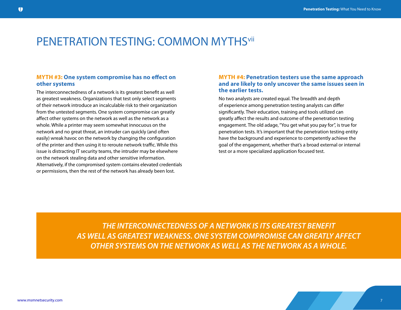### PENETRATION TESTING: COMMON MYTHS<sup>vii</sup>

#### **MYTH #3: One system compromise has no effect on other systems**

The interconnectedness of a network is its greatest benefit as well as greatest weakness. Organizations that test only select segments of their network introduce an incalculable risk to their organization from the untested segments. One system compromise can greatly affect other systems on the network as well as the network as a whole. While a printer may seem somewhat innocuous on the network and no great threat, an intruder can quickly (and often easily) wreak havoc on the network by changing the configuration of the printer and then using it to reroute network traffic. While this issue is distracting IT security teams, the intruder may be elsewhere on the network stealing data and other sensitive information. Alternatively, if the compromised system contains elevated credentials or permissions, then the rest of the network has already been lost.

#### **MYTH #4: Penetration testers use the same approach and are likely to only uncover the same issues seen in the earlier tests.**

No two analysts are created equal. The breadth and depth of experience among penetration testing analysts can differ significantly. Their education, training and tools utilized can greatly affect the results and outcome of the penetration testing engagement. The old adage, "You get what you pay for", is true for penetration tests. It's important that the penetration testing entity have the background and experience to competently achieve the goal of the engagement, whether that's a broad external or internal test or a more specialized application focused test.

*THE INTERCONNECTEDNESS OF A NETWORK IS ITS GREATEST BENEFIT AS WELL AS GREATEST WEAKNESS. ONE SYSTEM COMPROMISE CAN GREATLY AFFECT OTHER SYSTEMS ON THE NETWORK AS WELL AS THE NETWORK AS A WHOLE.*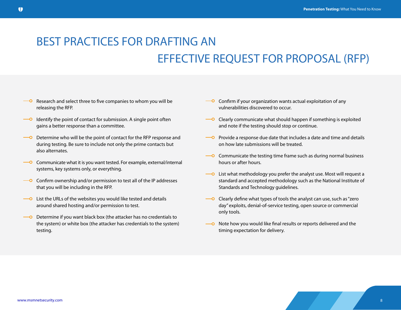### BEST PRACTICES FOR DRAFTING AN EFFECTIVE REQUEST FOR PROPOSAL (RFP)

- Research and select three to five companies to whom you will be releasing the RFP.
- $\overline{\hspace{1cm}}$  Identify the point of contact for submission. A single point often gains a better response than a committee.
- $\overline{\phantom{a}}$  Determine who will be the point of contact for the RFP response and during testing. Be sure to include not only the prime contacts but also alternates.
- $\overline{\phantom{a}}$  Communicate what it is you want tested. For example, external/internal systems, key systems only, or everything.
- $\overline{\phantom{a}}$  Confirm ownership and/or permission to test all of the IP addresses that you will be including in the RFP.
- $\overline{\phantom{a}}$  List the URLs of the websites you would like tested and details around shared hosting and/or permission to test.
- Determine if you want black box (the attacker has no credentials to the system) or white box (the attacker has credentials to the system) testing.
- $\overline{\phantom{a}}$  Confirm if your organization wants actual exploitation of any vulnerabilities discovered to occur.
- $\overline{\phantom{a}}$  Clearly communicate what should happen if something is exploited and note if the testing should stop or continue.
- $\overline{\hspace{1cm}}$  Provide a response due date that includes a date and time and details on how late submissions will be treated.
- $\overline{\phantom{a}}$  Communicate the testing time frame such as during normal business hours or after hours.
- $\overline{\phantom{a}}$  List what methodology you prefer the analyst use. Most will request a standard and accepted methodology such as the National Institute of Standards and Technology guidelines.
- $\overline{\phantom{a}}$  Clearly define what types of tools the analyst can use, such as "zero" day" exploits, denial-of-service testing, open source or commercial only tools.
- Note how you would like final results or reports delivered and the  $\overline{\phantom{0}}$ timing expectation for delivery.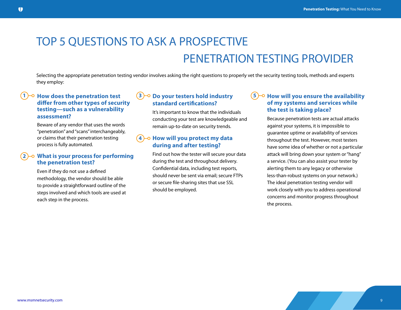### TOP 5 QUESTIONS TO ASK A PROSPECTIVE PENETRATION TESTING PROVIDER

Selecting the appropriate penetration testing vendor involves asking the right questions to properly vet the security testing tools, methods and experts they employ:

#### **How does the penetration test 1 3 differ from other types of security testing—such as a vulnerability assessment?**

Beware of any vendor that uses the words "penetration" and "scans" interchangeably, or claims that their penetration testing process is fully automated.

#### **2 What is your process for performing the penetration test?**

Even if they do not use a defined methodology, the vendor should be able to provide a straightforward outline of the steps involved and which tools are used at each step in the process.

#### **Do your testers hold industry standard certifications?**

It's important to know that the individuals conducting your test are knowledgeable and remain up-to-date on security trends.

#### **4)-** $\circ$  **How will you protect my data during and after testing?**

Find out how the tester will secure your data during the test and throughout delivery. Confidential data, including test reports, should never be sent via email; secure FTPs or secure file-sharing sites that use SSL should be employed.

#### $5$ <sup>- $\circ$ </sup> How will you ensure the availability **of my systems and services while the test is taking place?**

Because penetration tests are actual attacks against your systems, it is impossible to guarantee uptime or availability of services throughout the test. However, most testers have some idea of whether or not a particular attack will bring down your system or "hang" a service. (You can also assist your tester by alerting them to any legacy or otherwise less-than-robust systems on your network.) The ideal penetration testing vendor will work closely with you to address operational concerns and monitor progress throughout the process.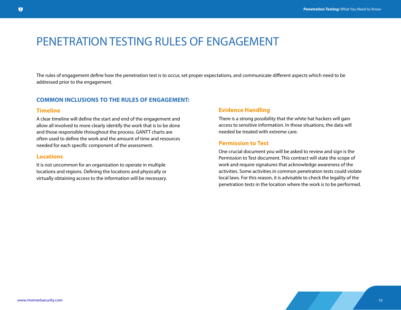### PENETRATION TESTING RULES OF ENGAGEMENT

The rules of engagement define how the penetration test is to occur, set proper expectations, and communicate different aspects which need to be addressed prior to the engagement.

#### **COMMON INCLUSIONS TO THE RULES OF ENGAGEMENT:**

#### **Timeline**

A clear timeline will define the start and end of the engagement and allow all involved to more clearly identify the work that is to be done and those responsible throughout the process. GANTT charts are often used to define the work and the amount of time and resources needed for each specific component of the assessment.

#### **Locations**

It is not uncommon for an organization to operate in multiple locations and regions. Defining the locations and physically or virtually obtaining access to the information will be necessary.

#### **Evidence Handling**

There is a strong possibility that the white hat hackers will gain access to sensitive information. In those situations, the data will needed be treated with extreme care.

#### **Permission to Test**

One crucial document you will be asked to review and sign is the Permission to Test document. This contract will state the scope of work and require signatures that acknowledge awareness of the activities. Some activities in common penetration tests could violate local laws. For this reason, it is advisable to check the legality of the penetration tests in the location where the work is to be performed.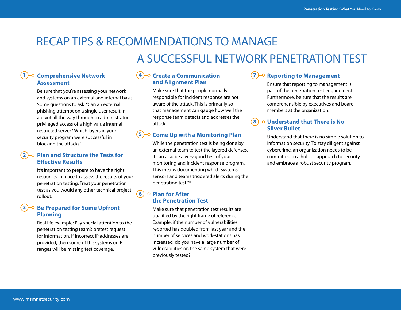### RECAP TIPS & RECOMMENDATIONS TO MANAGE A SUCCESSFUL NETWORK PENETRATION TEST

#### **1**)<sup>-o</sup> Comprehensive Network (4 **Assessment**

Be sure that you're assessing your network and systems on an external and internal basis. Some questions to ask: "Can an external phishing attempt on a single user result in a pivot all the way through to administrator privileged access of a high value internal restricted server? Which layers in your security program were successful in blocking the attack?"

#### **2 Plan and Structure the Tests for Effective Results**

It's important to prepare to have the right resources in place to assess the results of your penetration testing. Treat your penetration test as you would any other technical project rollout.

#### **Be Prepared for Some Upfront 3 Planning**

Real life example: Pay special attention to the penetration testing team's pretest request for information. If incorrect IP addresses are provided, then some of the systems or IP ranges will be missing test coverage.

#### **Create a Communication and Alignment Plan**

Make sure that the people normally responsible for incident response are not aware of the attack. This is primarily so that management can gauge how well the response team detects and addresses the attack.

#### **5 Come Up with a Monitoring Plan** o

While the penetration test is being done by an external team to test the layered defenses, it can also be a very good test of your monitoring and incident response program. This means documenting which systems, sensors and teams triggered alerts during the penetration test.viii

#### **Plan for After 6 the Penetration Test**

Make sure that penetration test results are qualified by the right frame of reference. Example: if the number of vulnerabilities reported has doubled from last year and the number of services and work-stations has increased, do you have a large number of vulnerabilities on the same system that were previously tested?

#### **Po Reporting to Management 7**

Ensure that reporting to management is part of the penetration test engagement. Furthermore, be sure that the results are comprehensible by executives and board members at the organization.

#### **Understand that There is No 8 Silver Bullet**

Understand that there is no simple solution to information security. To stay diligent against cybercrime, an organization needs to be committed to a holistic approach to security and embrace a robust security program.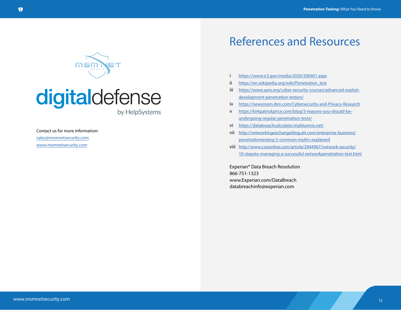

## digitaldefense

by HelpSystems

Contact us for more information:

sales@msmnetsecurity.com

www.msmnetsecurity.com

### References and Resources

- i <https://www.ic3.gov/media/2020/200401.aspx>
- ii [https://en.wikipedia.org/wiki/Penetration\\_test](https://en.wikipedia.org/wiki/Penetration_test)
- iii [https://www.sans.org/cyber-security-courses/advanced-exploit](https://www.sans.org/cyber-security-courses/advanced-exploit-development-penetration-testers/)[development-penetration-testers/](https://www.sans.org/cyber-security-courses/advanced-exploit-development-penetration-testers/)
- iv <https://newsroom.ibm.com/Cybersecurity-and-Privacy-Research>
- v [https://kirkpatrickprice.com/blog/3-reasons-you-should-be](https://kirkpatrickprice.com/blog/3-reasons-you-should-be-undergoing-regular-penetration-tests/)[undergoing-regular-penetration-tests/](https://kirkpatrickprice.com/blog/3-reasons-you-should-be-undergoing-regular-penetration-tests/)
- vi <https://databreachcalculator.mybluemix.net/>
- vii [http://networkingexchangeblog.att.com/enterprise-business/](http://networkingexchangeblog.att.com/enterprise-business/  penetrationtesting-5-common-myths-expla)  [penetrationtesting-5-common-myths-explained](http://networkingexchangeblog.att.com/enterprise-business/   penetrationtesting-5-common-myths-expla)
- viii [http://www.csoonline.com/article/2944967/network-security/](https://www.csoonline.com/article/2126101/5-tips-for-a-successful-penetration-testing-program.html) [10-stepsto-managing-a-successful-networkpenetration-test.html](https://www.csoonline.com/article/2126101/5-tips-for-a-successful-penetration-testing-program.html)

Experian® Data Breach Resolution 866-751-1323 www.Experian.com/DataBreach databreachinfo@experian.com